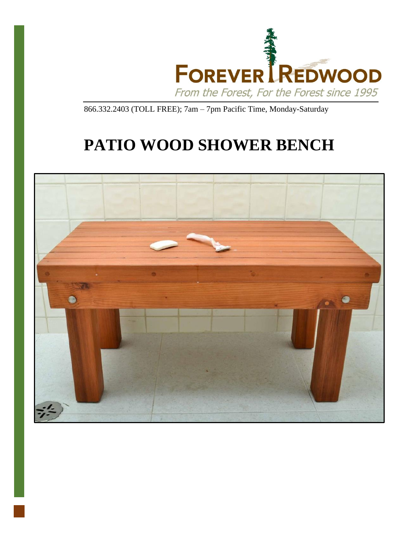

866.332.2403 (TOLL FREE); 7am – 7pm Pacific Time, Monday-Saturday

# **PATIO WOOD SHOWER BENCH**

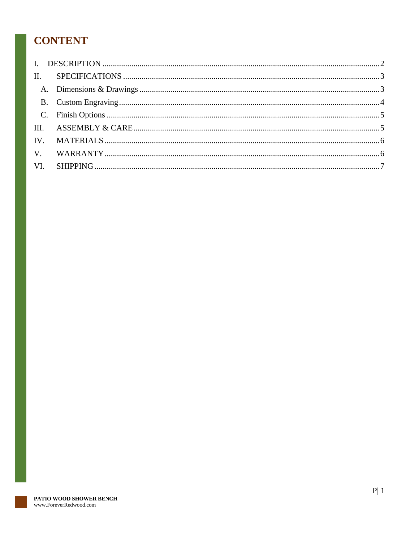# **CONTENT**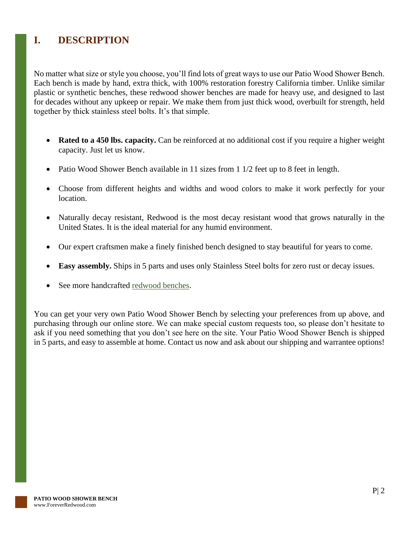# <span id="page-2-0"></span>**I. DESCRIPTION**

No matter what size or style you choose, you'll find lots of great ways to use our Patio Wood Shower Bench. Each bench is made by hand, extra thick, with 100% restoration forestry California timber. Unlike similar plastic or synthetic benches, these redwood shower benches are made for heavy use, and designed to last for decades without any upkeep or repair. We make them from just thick wood, overbuilt for strength, held together by thick stainless steel bolts. It's that simple.

- **Rated to a 450 lbs. capacity.** Can be reinforced at no additional cost if you require a higher weight capacity. Just let us know.
- Patio Wood Shower Bench available in 11 sizes from 1 1/2 feet up to 8 feet in length.
- Choose from different heights and widths and wood colors to make it work perfectly for your location.
- Naturally decay resistant, Redwood is the most decay resistant wood that grows naturally in the United States. It is the ideal material for any humid environment.
- Our expert craftsmen make a finely finished bench designed to stay beautiful for years to come.
- **Easy assembly.** Ships in 5 parts and uses only Stainless Steel bolts for zero rust or decay issues.
- See more handcrafted [redwood benches.](https://www.foreverredwood.com/wooden-patio-furniture/benches.html)

You can get your very own Patio Wood Shower Bench by selecting your preferences from up above, and purchasing through our online store. We can make special custom requests too, so please don't hesitate to ask if you need something that you don't see here on the site. Your Patio Wood Shower Bench is shipped in 5 parts, and easy to assemble at home. Contact us now and ask about our shipping and warrantee options!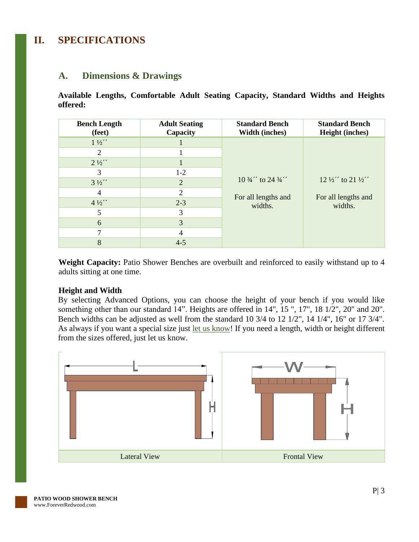# <span id="page-3-0"></span>**II. SPECIFICATIONS**

#### <span id="page-3-1"></span>**A. Dimensions & Drawings**

**Available Lengths, Comfortable Adult Seating Capacity, Standard Widths and Heights offered:**

| <b>Bench Length</b><br>(feet) | <b>Adult Seating</b><br>Capacity | <b>Standard Bench</b><br><b>Width (inches)</b>                        | <b>Standard Bench</b><br><b>Height (inches)</b>                      |
|-------------------------------|----------------------------------|-----------------------------------------------------------------------|----------------------------------------------------------------------|
| $1\frac{1}{2}$                |                                  |                                                                       |                                                                      |
| $\overline{c}$                |                                  | $10\frac{3}{4}$ to 24 $\frac{3}{4}$<br>For all lengths and<br>widths. | $12\frac{1}{2}$ to $21\frac{1}{2}$<br>For all lengths and<br>widths. |
| $2\frac{1}{2}$                |                                  |                                                                       |                                                                      |
| 3                             | $1 - 2$                          |                                                                       |                                                                      |
| $3\frac{1}{2}$                | $\overline{2}$                   |                                                                       |                                                                      |
| $\overline{4}$                | $\overline{2}$                   |                                                                       |                                                                      |
| $4\frac{1}{2}$                | $2 - 3$                          |                                                                       |                                                                      |
| 5                             | 3                                |                                                                       |                                                                      |
| 6                             | 3                                |                                                                       |                                                                      |
| ⇁                             | 4                                |                                                                       |                                                                      |
| 8                             | $4 - 5$                          |                                                                       |                                                                      |

**Weight Capacity:** Patio Shower Benches are overbuilt and reinforced to easily withstand up to 4 adults sitting at one time.

#### **Height and Width**

By selecting Advanced Options, you can choose the height of your bench if you would like something other than our standard 14". Heights are offered in 14", 15 ", 17", 18 1/2", 20" and 20". Bench widths can be adjusted as well from the standard 10 3/4 to 12 1/2", 14 1/4", 16" or 17 3/4". As always if you want a special size just <u>let us know</u>! If you need a length, width or height different from the sizes offered, just let us know.

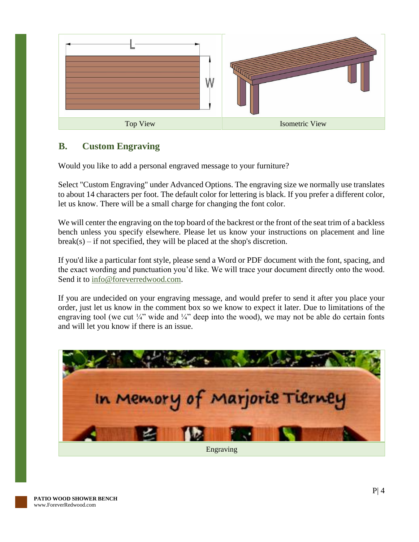

#### <span id="page-4-0"></span>**B. Custom Engraving**

Would you like to add a personal engraved message to your furniture?

Select "Custom Engraving" under Advanced Options. The engraving size we normally use translates to about 14 characters per foot. The default color for lettering is black. If you prefer a different color, let us know. There will be a small charge for changing the font color.

We will center the engraving on the top board of the backrest or the front of the seat trim of a backless bench unless you specify elsewhere. Please let us know your instructions on placement and line  $break(s)$  – if not specified, they will be placed at the shop's discretion.

If you'd like a particular font style, please send a Word or PDF document with the font, spacing, and the exact wording and punctuation you'd like. We will trace your document directly onto the wood. Send it to [info@foreverredwood.com.](mailto:info@foreverredwood.com)

If you are undecided on your engraving message, and would prefer to send it after you place your order, just let us know in the comment box so we know to expect it later. Due to limitations of the engraving tool (we cut  $\frac{1}{4}$ " wide and  $\frac{1}{4}$ " deep into the wood), we may not be able do certain fonts and will let you know if there is an issue.

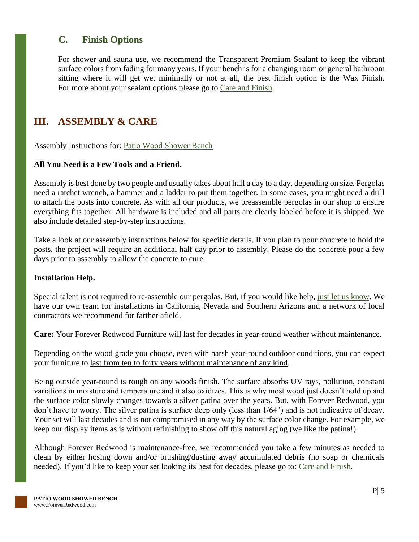#### <span id="page-5-0"></span>**C. Finish Options**

For shower and sauna use, we recommend the Transparent Premium Sealant to keep the vibrant surface colors from fading for many years. If your bench is for a changing room or general bathroom sitting where it will get wet minimally or not at all, the best finish option is the Wax Finish. For more about your sealant options please go to [Care and Finish.](https://www.foreverredwood.com/redwood-furniture/care-finish)

### <span id="page-5-1"></span>**III. ASSEMBLY & CARE**

Assembly Instructions for: [Patio Wood Shower Bench](https://www.foreverredwood.com/media/pdf/assembly/Patio_Wood_Shower_Bench.pdf)

#### **All You Need is a Few Tools and a Friend.**

Assembly is best done by two people and usually takes about half a day to a day, depending on size. Pergolas need a ratchet wrench, a hammer and a ladder to put them together. In some cases, you might need a drill to attach the posts into concrete. As with all our products, we preassemble pergolas in our shop to ensure everything fits together. All hardware is included and all parts are clearly labeled before it is shipped. We also include detailed step-by-step instructions.

Take a look at our assembly instructions below for specific details. If you plan to pour concrete to hold the posts, the project will require an additional half day prior to assembly. Please do the concrete pour a few days prior to assembly to allow the concrete to cure.

#### **Installation Help.**

Special talent is not required to re-assemble our pergolas. But, if you would like help, [just let us know.](https://www.foreverredwood.com/information/contact) We have our own team for installations in California, Nevada and Southern Arizona and a network of local contractors we recommend for farther afield.

**Care:** Your Forever Redwood Furniture will last for decades in year-round weather without maintenance.

Depending on the wood grade you choose, even with harsh year-round outdoor conditions, you can expect your furniture to last from ten to forty years without maintenance of any kind.

Being outside year-round is rough on any woods finish. The surface absorbs UV rays, pollution, constant variations in moisture and temperature and it also oxidizes. This is why most wood just doesn't hold up and the surface color slowly changes towards a silver patina over the years. But, with Forever Redwood, you don't have to worry. The silver patina is surface deep only (less than 1/64") and is not indicative of decay. Your set will last decades and is not compromised in any way by the surface color change. For example, we keep our display items as is without refinishing to show off this natural aging (we like the patina!).

Although Forever Redwood is maintenance-free, we recommended you take a few minutes as needed to clean by either hosing down and/or brushing/dusting away accumulated debris (no soap or chemicals needed). If you'd like to keep your set looking its best for decades, please go to: [Care and](https://www.foreverredwood.com/redwood-furniture/care-finish) Finish.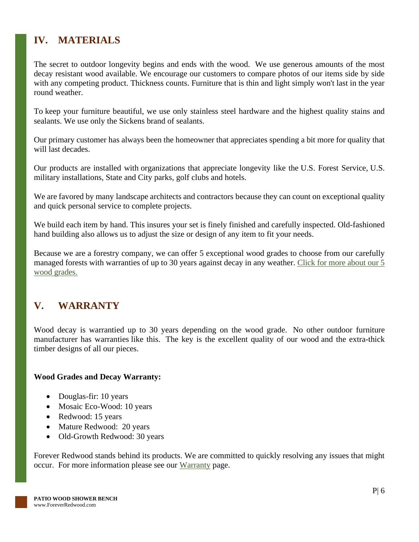# <span id="page-6-0"></span>**IV. MATERIALS**

The secret to outdoor longevity begins and ends with the wood. We use generous amounts of the most decay resistant wood available. We encourage our customers to compare photos of our items side by side with any competing product. Thickness counts. Furniture that is thin and light simply won't last in the year round weather.

To keep your furniture beautiful, we use only stainless steel hardware and the highest quality stains and sealants. We use only the Sickens brand of sealants.

Our primary customer has always been the homeowner that appreciates spending a bit more for quality that will last decades.

Our products are installed with organizations that appreciate longevity like the U.S. Forest Service, U.S. military installations, State and City parks, golf clubs and hotels.

We are favored by many landscape architects and contractors because they can count on exceptional quality and quick personal service to complete projects.

We build each item by hand. This insures your set is finely finished and carefully inspected. Old-fashioned hand building also allows us to adjust the size or design of any item to fit your needs.

Because we are a forestry company, we can offer 5 exceptional wood grades to choose from our carefully managed forests with warranties of up to 30 years against decay in any weather. Click for more about our 5 [wood grades.](https://www.foreverredwood.com/redwood-furniture/wood-grade/)

# <span id="page-6-1"></span>**V. WARRANTY**

Wood decay is warrantied up to 30 years depending on the wood grade. No other outdoor furniture manufacturer has warranties like this. The key is the excellent quality of our wood and the extra-thick timber designs of all our pieces.

#### **Wood Grades and Decay Warranty:**

- Douglas-fir: 10 years
- Mosaic Eco-Wood: 10 years
- Redwood: 15 years
- Mature Redwood: 20 years
- Old-Growth Redwood: 30 years

Forever Redwood stands behind its products. We are committed to quickly resolving any issues that might occur. For more information please see our [Warranty](https://www.foreverredwood.com/redwood-furniture/warranty) page.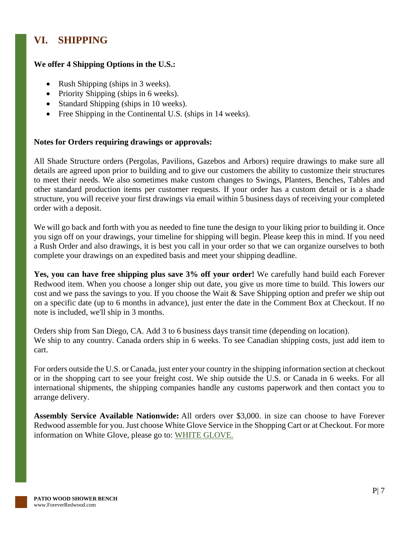# <span id="page-7-0"></span>**VI. SHIPPING**

#### **We offer 4 Shipping Options in the U.S.:**

- Rush Shipping (ships in 3 weeks).
- Priority Shipping (ships in 6 weeks).
- Standard Shipping (ships in 10 weeks).
- Free Shipping in the Continental U.S. (ships in 14 weeks).

#### **Notes for Orders requiring drawings or approvals:**

All Shade Structure orders (Pergolas, Pavilions, Gazebos and Arbors) require drawings to make sure all details are agreed upon prior to building and to give our customers the ability to customize their structures to meet their needs. We also sometimes make custom changes to Swings, Planters, Benches, Tables and other standard production items per customer requests. If your order has a custom detail or is a shade structure, you will receive your first drawings via email within 5 business days of receiving your completed order with a deposit.

We will go back and forth with you as needed to fine tune the design to your liking prior to building it. Once you sign off on your drawings, your timeline for shipping will begin. Please keep this in mind. If you need a Rush Order and also drawings, it is best you call in your order so that we can organize ourselves to both complete your drawings on an expedited basis and meet your shipping deadline.

**Yes, you can have free shipping plus save 3% off your order!** We carefully hand build each Forever Redwood item. When you choose a longer ship out date, you give us more time to build. This lowers our cost and we pass the savings to you. If you choose the Wait & Save Shipping option and prefer we ship out on a specific date (up to 6 months in advance), just enter the date in the Comment Box at Checkout. If no note is included, we'll ship in 3 months.

Orders ship from San Diego, CA. Add 3 to 6 business days transit time (depending on location). We ship to any country. Canada orders ship in 6 weeks. To see Canadian shipping costs, just add item to cart.

For orders outside the U.S. or Canada, just enter your country in the shipping information section at checkout or in the shopping cart to see your freight cost. We ship outside the U.S. or Canada in 6 weeks. For all international shipments, the shipping companies handle any customs paperwork and then contact you to arrange delivery.

**Assembly Service Available Nationwide:** All orders over \$3,000. in size can choose to have Forever Redwood assemble for you. Just choose White Glove Service in the Shopping Cart or at Checkout. For more information on White Glove, please go to: [WHITE GLOVE.](https://www.foreverredwood.com/white-glove/)